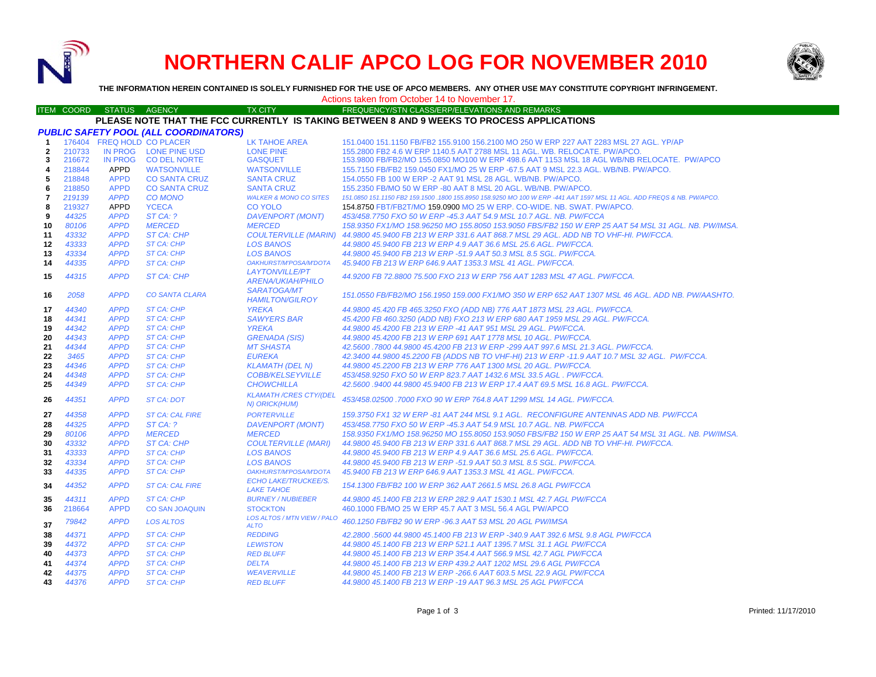

# **NORTHERN CALIF APCO LOG FOR NOVEMBER 2010**



**THE INFORMATION HEREIN CONTAINED IS SOLELY FURNISHED FOR THE USE OF APCO MEMBERS. ANY OTHER USE MAY CONSTITUTE COPYRIGHT INFRINGEMENT.**

## Actions taken from October 14 to November 17.

#### ITEM COORD STATUS AGENCY TX CITY TIREQUENCY/STN CLASS/ERP/ELEVATIONS AND REMARKS **PLEASE NOTE THAT THE FCC CURRENTLY IS TAKING BETWEEN 8 AND 9 WEEKS TO PROCESS APPLICATIONS**

| <b>PUBLIC SAFETY POOL (ALL COORDINATORS)</b> |        |                |                            |                                                  |                                                                                                                        |  |
|----------------------------------------------|--------|----------------|----------------------------|--------------------------------------------------|------------------------------------------------------------------------------------------------------------------------|--|
| $\mathbf 1$                                  |        |                | 176404 FREQ HOLD CO PLACER | LK TAHOE AREA                                    | 151.0400 151.1150 FB/FB2 155.9100 156.2100 MO 250 W ERP 227 AAT 2283 MSL 27 AGL. YP/AP                                 |  |
| $\overline{2}$                               | 210733 |                | IN PROG LONE PINE USD      | <b>LONE PINE</b>                                 | 155,2800 FB2 4.6 W ERP 1140.5 AAT 2788 MSL 11 AGL, WB, RELOCATE, PW/APCO,                                              |  |
| 3                                            | 216672 | <b>IN PROG</b> | <b>CO DEL NORTE</b>        | <b>GASQUET</b>                                   | 153.9800 FB/FB2/MO 155.0850 MO100 W ERP 498.6 AAT 1153 MSL 18 AGL WB/NB RELOCATE. PW/APCO                              |  |
| 4                                            | 218844 | APPD           | <b>WATSONVILLE</b>         | <b>WATSONVILLE</b>                               | 155.7150 FB/FB2 159.0450 FX1/MO 25 W ERP -67.5 AAT 9 MSL 22.3 AGL, WB/NB, PW/APCO,                                     |  |
| 5                                            | 218848 | <b>APPD</b>    | <b>CO SANTA CRUZ</b>       | <b>SANTA CRUZ</b>                                | 154,0550 FB 100 W ERP -2 AAT 91 MSL 28 AGL, WB/NB, PW/APCO,                                                            |  |
| 6                                            | 218850 | <b>APPD</b>    | <b>CO SANTA CRUZ</b>       | <b>SANTA CRUZ</b>                                | 155,2350 FB/MO 50 W ERP -80 AAT 8 MSL 20 AGL, WB/NB, PW/APCO,                                                          |  |
| 7                                            | 219139 | <b>APPD</b>    | <b>CO MONO</b>             | <b>WALKER &amp; MONO CO SITES</b>                | 151.0850 151.1150 FB2 159.1500 .1800 155.8950 158.9250 MO 100 W ERP -441 AAT 1597 MSL 11 AGL. ADD FREQS & NB. PW/APCO. |  |
| 8                                            | 219327 | APPD           | <b>YCECA</b>               | <b>CO YOLO</b>                                   | 154.8750 FBT/FB2T/MO 159.0900 MO 25 W ERP. CO-WIDE. NB. SWAT. PW/APCO.                                                 |  |
| 9                                            | 44325  | <b>APPD</b>    | ST CA: ?                   | <b>DAVENPORT (MONT)</b>                          | 453/458.7750 FXO 50 W ERP -45.3 AAT 54.9 MSL 10.7 AGL. NB. PW/FCCA                                                     |  |
| 10                                           | 80106  | <b>APPD</b>    | <b>MERCED</b>              | <b>MERCED</b>                                    | 158.9350 FX1/MO 158.96250 MO 155.8050 153.9050 FBS/FB2 150 W ERP 25 AAT 54 MSL 31 AGL. NB. PW/IMSA.                    |  |
| 11                                           | 43332  | <b>APPD</b>    | <b>ST CA: CHP</b>          |                                                  | COULTERVILLE (MARIN) 44.9800 45.9400 FB 213 W ERP 331.6 AAT 868.7 MSL 29 AGL. ADD NB TO VHF-HI. PW/FCCA.               |  |
| 12                                           | 43333  | <b>APPD</b>    | <b>ST CA: CHP</b>          | <b>LOS BANOS</b>                                 | 44.9800 45.9400 FB 213 W ERP 4.9 AAT 36.6 MSL 25.6 AGL. PW/FCCA.                                                       |  |
| 13                                           | 43334  | <b>APPD</b>    | ST CA: CHP                 | <b>LOS BANOS</b>                                 | 44,9800 45,9400 FB 213 W ERP -51.9 AAT 50.3 MSL 8.5 SGL, PW/FCCA,                                                      |  |
| 14                                           | 44335  | <b>APPD</b>    | ST CA: CHP                 | OAKHURST/M'POSA/M'DOTA                           | 45.9400 FB 213 W ERP 646.9 AAT 1353.3 MSL 41 AGL, PW/FCCA,                                                             |  |
| 15                                           | 44315  | <b>APPD</b>    | <b>ST CA: CHP</b>          | <b>LAYTONVILLE/PT</b>                            | 44.9200 FB 72.8800 75.500 FXO 213 W ERP 756 AAT 1283 MSL 47 AGL. PW/FCCA.                                              |  |
|                                              |        |                |                            | <b>ARENA/UKIAH/PHILO</b>                         |                                                                                                                        |  |
| 16                                           | 2058   | <b>APPD</b>    | <b>CO SANTA CLARA</b>      | <b>SARATOGA/MT</b><br><b>HAMILTON/GILROY</b>     | 151.0550 FB/FB2/MO 156.1950 159.000 FX1/MO 350 W ERP 652 AAT 1307 MSL 46 AGL. ADD NB. PW/AASHTO.                       |  |
| 17                                           | 44340  | <b>APPD</b>    | <b>ST CA: CHP</b>          | <b>YREKA</b>                                     | 44.9800 45.420 FB 465.3250 FXO (ADD NB) 776 AAT 1873 MSL 23 AGL. PW/FCCA.                                              |  |
| 18                                           | 44341  | <b>APPD</b>    | <b>ST CA: CHP</b>          | <b>SAWYERS BAR</b>                               | 45.4200 FB 460.3250 (ADD NB) FXO 213 W ERP 680 AAT 1959 MSL 29 AGL. PW/FCCA.                                           |  |
| 19                                           | 44342  | <b>APPD</b>    | <b>ST CA: CHP</b>          | <b>YREKA</b>                                     | 44.9800 45.4200 FB 213 W ERP -41 AAT 951 MSL 29 AGL. PW/FCCA.                                                          |  |
| 20                                           | 44343  | <b>APPD</b>    | ST CA: CHP                 | <b>GRENADA (SIS)</b>                             | 44,9800 45,4200 FB 213 W ERP 691 AAT 1778 MSL 10 AGL. PW/FCCA.                                                         |  |
| 21                                           | 44344  | <b>APPD</b>    | <b>ST CA: CHP</b>          | <b>MT SHASTA</b>                                 | 42.5600.7800 44.9800 45.4200 FB 213 W ERP -299 AAT 997.6 MSL 21.3 AGL. PW/FCCA.                                        |  |
| 22                                           | 3465   | <b>APPD</b>    | <b>ST CA: CHP</b>          | <b>EUREKA</b>                                    | 42.3400 44.9800 45.2200 FB (ADDS NB TO VHF-HI) 213 W ERP -11.9 AAT 10.7 MSL 32 AGL. PW/FCCA.                           |  |
| 23                                           | 44346  | <b>APPD</b>    | <b>ST CA: CHP</b>          | <b>KLAMATH (DEL N)</b>                           | 44.9800 45.2200 FB 213 W ERP 776 AAT 1300 MSL 20 AGL. PW/FCCA.                                                         |  |
| 24                                           | 44348  | <b>APPD</b>    | ST CA: CHP                 | <b>COBB/KELSEYVILLE</b>                          | 453/458.9250 FXO 50 W ERP 823.7 AAT 1432.6 MSL 33.5 AGL, PW/FCCA.                                                      |  |
| 25                                           | 44349  | <b>APPD</b>    | <b>ST CA: CHP</b>          | <b>CHOWCHILLA</b>                                | 42.5600 .9400 44.9800 45.9400 FB 213 W ERP 17.4 AAT 69.5 MSL 16.8 AGL. PW/FCCA.                                        |  |
| 26                                           | 44351  | <b>APPD</b>    | ST CA: DOT                 | <b>KLAMATH /CRES CTY/(DEL</b><br>N) ORICK(HUM)   | 453/458.02500, 7000 FXO 90 W ERP 764.8 AAT 1299 MSL 14 AGL, PW/FCCA.                                                   |  |
| 27                                           | 44358  | <b>APPD</b>    | <b>ST CA: CAL FIRE</b>     | <b>PORTERVILLE</b>                               | 159.3750 FX1 32 W ERP -81 AAT 244 MSL 9.1 AGL. RECONFIGURE ANTENNAS ADD NB. PW/FCCA                                    |  |
| 28                                           | 44325  | <b>APPD</b>    | ST CA: ?                   | <b>DAVENPORT (MONT)</b>                          | 453/458.7750 FXO 50 W ERP -45.3 AAT 54.9 MSL 10.7 AGL. NB. PW/FCCA                                                     |  |
| 29                                           | 80106  | <b>APPD</b>    | <b>MERCED</b>              | <b>MERCED</b>                                    | 158.9350 FX1/MO 158.96250 MO 155.8050 153.9050 FBS/FB2 150 W ERP 25 AAT 54 MSL 31 AGL. NB. PW/IMSA.                    |  |
| 30                                           | 43332  | <b>APPD</b>    | <b>ST CA: CHP</b>          | <b>COULTERVILLE (MARI)</b>                       | 44.9800 45.9400 FB 213 W ERP 331.6 AAT 868.7 MSL 29 AGL, ADD NB TO VHF-HI, PW/FCCA.                                    |  |
| 31                                           | 43333  | <b>APPD</b>    | ST CA: CHP                 | <b>LOS BANOS</b>                                 | 44.9800 45.9400 FB 213 W ERP 4.9 AAT 36.6 MSL 25.6 AGL. PW/FCCA.                                                       |  |
| 32                                           | 43334  | <b>APPD</b>    | ST CA: CHP                 | <b>LOS BANOS</b>                                 | 44.9800 45.9400 FB 213 W ERP -51.9 AAT 50.3 MSL 8.5 SGL. PW/FCCA.                                                      |  |
| 33                                           | 44335  | <b>APPD</b>    | ST CA: CHP                 | OAKHURST/M'POSA/M'DOTA                           | 45.9400 FB 213 W ERP 646.9 AAT 1353.3 MSL 41 AGL, PW/FCCA,                                                             |  |
| 34                                           | 44352  | <b>APPD</b>    | <b>ST CA: CAL FIRE</b>     | <b>ECHO LAKE/TRUCKEE/S.</b><br><b>LAKE TAHOE</b> | 154.1300 FB/FB2 100 W ERP 362 AAT 2661.5 MSL 26.8 AGL PW/FCCA                                                          |  |
| 35                                           | 44311  | <b>APPD</b>    | ST CA: CHP                 | <b>BURNEY / NUBIEBER</b>                         | 44.9800 45.1400 FB 213 W ERP 282.9 AAT 1530.1 MSL 42.7 AGL PW/FCCA                                                     |  |
| 36                                           | 218664 | <b>APPD</b>    | <b>CO SAN JOAQUIN</b>      | <b>STOCKTON</b>                                  | 460.1000 FB/MO 25 W ERP 45.7 AAT 3 MSL 56.4 AGL PW/APCO                                                                |  |
| 37                                           | 79842  | <b>APPD</b>    | <b>LOS ALTOS</b>           | LOS ALTOS / MTN VIEW / PALO<br><b>ALTO</b>       | 460.1250 FB/FB2 90 W ERP -96.3 AAT 53 MSL 20 AGL PW/IMSA                                                               |  |
| 38                                           | 44371  | <b>APPD</b>    | ST CA: CHP                 | <b>REDDING</b>                                   | 42.2800 .5600 44.9800 45.1400 FB 213 W ERP -340.9 AAT 392.6 MSL 9.8 AGL PW/FCCA                                        |  |
| 39                                           | 44372  | <b>APPD</b>    | ST CA: CHP                 | <b>LEWISTON</b>                                  | 44.9800 45.1400 FB 213 W ERP 521.1 AAT 1395.7 MSL 31.1 AGL PW/FCCA                                                     |  |
| 40                                           | 44373  | <b>APPD</b>    | <b>ST CA: CHP</b>          | <b>RED BLUFF</b>                                 | 44,9800 45,1400 FB 213 W ERP 354.4 AAT 566.9 MSL 42.7 AGL PW/FCCA                                                      |  |
| 41                                           | 44374  | <b>APPD</b>    | <b>ST CA: CHP</b>          | <b>DELTA</b>                                     | 44.9800 45.1400 FB 213 W ERP 439.2 AAT 1202 MSL 29.6 AGL PW/FCCA                                                       |  |
| 42                                           | 44375  | <b>APPD</b>    | <b>ST CA: CHP</b>          | <b>WEAVERVILLE</b>                               | 44.9800 45.1400 FB 213 W ERP -266.6 AAT 603.5 MSL 22.9 AGL PW/FCCA                                                     |  |
| 43                                           | 44376  | <b>APPD</b>    | ST CA: CHP                 | <b>RED BLUFF</b>                                 | 44.9800 45.1400 FB 213 W ERP -19 AAT 96.3 MSL 25 AGL PW/FCCA                                                           |  |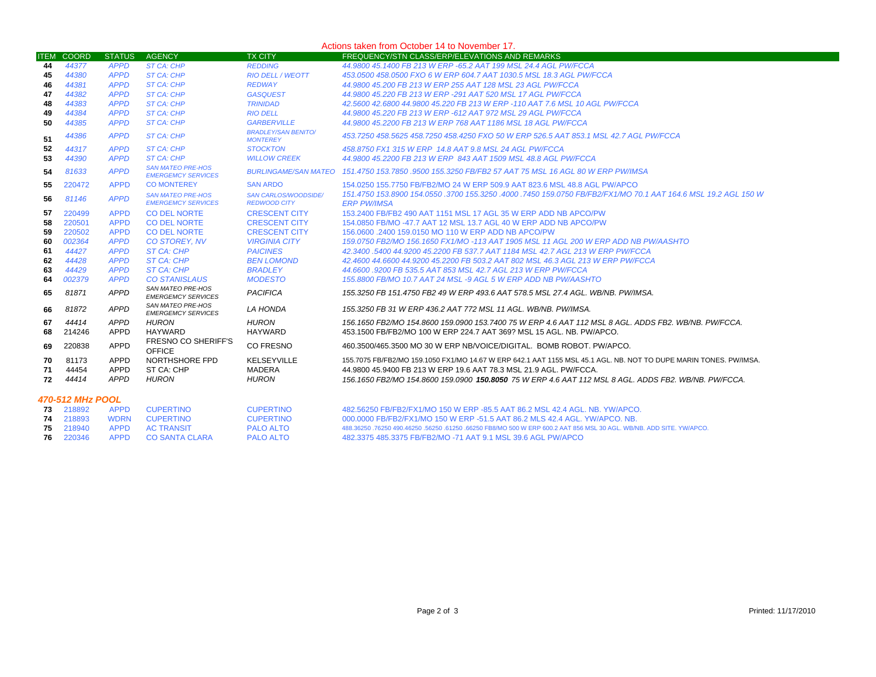|    | Actions taken from October 14 to November 17. |               |                                                       |                                                    |                                                                                                                                                                           |  |  |
|----|-----------------------------------------------|---------------|-------------------------------------------------------|----------------------------------------------------|---------------------------------------------------------------------------------------------------------------------------------------------------------------------------|--|--|
|    | <b>ITEM COORD</b>                             | <b>STATUS</b> | <b>AGENCY</b>                                         | <b>TX CITY</b>                                     | FREQUENCY/STN CLASS/ERP/ELEVATIONS AND REMARKS                                                                                                                            |  |  |
| 44 | 44377                                         | <b>APPD</b>   | ST CA: CHP                                            | <b>REDDING</b>                                     | 44.9800 45.1400 FB 213 W ERP -65.2 AAT 199 MSL 24.4 AGL PW/FCCA                                                                                                           |  |  |
| 45 | 44380                                         | <b>APPD</b>   | <b>ST CA: CHP</b>                                     | <b>RIO DELL / WEOTT</b>                            | 453.0500 458.0500 FXO 6 W ERP 604.7 AAT 1030.5 MSL 18.3 AGL PW/FCCA                                                                                                       |  |  |
| 46 | 44381                                         | <b>APPD</b>   | ST CA: CHP                                            | <b>REDWAY</b>                                      | 44,9800 45,200 FB 213 W ERP 255 AAT 128 MSL 23 AGL PW/FCCA                                                                                                                |  |  |
| 47 | 44382                                         | <b>APPD</b>   | ST CA: CHP                                            | <b>GASQUEST</b>                                    | 44.9800 45.220 FB 213 W ERP -291 AAT 520 MSL 17 AGL PW/FCCA                                                                                                               |  |  |
| 48 | 44383                                         | <b>APPD</b>   | ST CA: CHP                                            | <b>TRINIDAD</b>                                    | 42.5600 42.6800 44.9800 45.220 FB 213 W ERP -110 AAT 7.6 MSL 10 AGL PW/FCCA                                                                                               |  |  |
| 49 | 44384                                         | <b>APPD</b>   | <b>ST CA: CHP</b>                                     | <b>RIO DELL</b>                                    | 44.9800 45.220 FB 213 W ERP -612 AAT 972 MSL 29 AGL PW/FCCA                                                                                                               |  |  |
| 50 | 44385                                         | <b>APPD</b>   | ST CA: CHP                                            | <b>GARBERVILLE</b>                                 | 44.9800 45.2200 FB 213 W ERP 768 AAT 1186 MSL 18 AGL PW/FCCA                                                                                                              |  |  |
| 51 | 44386                                         | <b>APPD</b>   | ST CA: CHP                                            | <b>BRADLEY/SAN BENITO/</b><br><b>MONTEREY</b>      | 453.7250 458.5625 458.7250 458.4250 FXO 50 W ERP 526.5 AAT 853.1 MSL 42.7 AGL PW/FCCA                                                                                     |  |  |
| 52 | 44317                                         | <b>APPD</b>   | ST CA: CHP                                            | <b>STOCKTON</b>                                    | 458.8750 FX1 315 W ERP 14.8 AAT 9.8 MSL 24 AGL PW/FCCA                                                                                                                    |  |  |
| 53 | 44390                                         | <b>APPD</b>   | ST CA: CHP                                            | <b>WILLOW CREEK</b>                                | 44.9800 45.2200 FB 213 W ERP 843 AAT 1509 MSL 48.8 AGL PW/FCCA                                                                                                            |  |  |
| 54 | 81633                                         | <b>APPD</b>   | <b>SAN MATEO PRE-HOS</b><br><b>EMERGEMCY SERVICES</b> |                                                    | BURLINGAME/SAN MATEO 151.4750 153.7850 9500 155.3250 FB/FB2 57 AAT 75 MSL 16 AGL 80 W ERP PW/IMSA                                                                         |  |  |
| 55 | 220472                                        | <b>APPD</b>   | <b>CO MONTEREY</b>                                    | <b>SAN ARDO</b>                                    | 154,0250 155,7750 FB/FB2/MO 24 W ERP 509.9 AAT 823.6 MSL 48.8 AGL PW/APCO                                                                                                 |  |  |
| 56 | 81146                                         | <b>APPD</b>   | <b>SAN MATEO PRE-HOS</b><br><b>EMERGEMCY SERVICES</b> | <b>SAN CARLOS/WOODSIDE/</b><br><b>REDWOOD CITY</b> | 151.4750 153.8900 154.0550 .3700 155.3250 .4000 .7450 159.0750 FB/FB2/FX1/MO 70.1 AAT 164.6 MSL 19.2 AGL 150 W<br><b>ERP PW/IMSA</b>                                      |  |  |
| 57 | 220499                                        | <b>APPD</b>   | <b>CO DEL NORTE</b>                                   | <b>CRESCENT CITY</b>                               | 153,2400 FB/FB2 490 AAT 1151 MSL 17 AGL 35 W ERP ADD NB APCO/PW                                                                                                           |  |  |
| 58 | 220501                                        | <b>APPD</b>   | <b>CO DEL NORTE</b>                                   | <b>CRESCENT CITY</b>                               | 154,0850 FB/MO -47.7 AAT 12 MSL 13.7 AGL 40 W ERP ADD NB APCO/PW                                                                                                          |  |  |
| 59 | 220502                                        | <b>APPD</b>   | <b>CO DEL NORTE</b>                                   | <b>CRESCENT CITY</b>                               | 156,0600 .2400 159,0150 MO 110 W ERP ADD NB APCO/PW                                                                                                                       |  |  |
| 60 | 002364                                        | <b>APPD</b>   | <b>CO STOREY, NV</b>                                  | <b>VIRGINIA CITY</b>                               | 159.0750 FB2/MO 156.1650 FX1/MO -113 AAT 1905 MSL 11 AGL 200 W ERP ADD NB PW/AASHTO                                                                                       |  |  |
| 61 | 44427                                         | <b>APPD</b>   | <b>ST CA: CHP</b>                                     | <b>PAICINES</b>                                    | 42.3400 .5400 44.9200 45.2200 FB 537.7 AAT 1184 MSL 42.7 AGL 213 W ERP PW/FCCA                                                                                            |  |  |
| 62 | 44428                                         | <b>APPD</b>   | <b>ST CA: CHP</b>                                     | <b>BEN LOMOND</b>                                  | 42.4600 44.6600 44.9200 45.2200 FB 503.2 AAT 802 MSL 46.3 AGL 213 W ERP PW/FCCA                                                                                           |  |  |
| 63 | 44429                                         | <b>APPD</b>   | ST CA: CHP                                            | <b>BRADLEY</b>                                     | 44,6600,9200 FB 535,5 AAT 853 MSL 42.7 AGL 213 W ERP PW/FCCA                                                                                                              |  |  |
| 64 | 002379                                        | <b>APPD</b>   | <b>CO STANISLAUS</b>                                  | <b>MODESTO</b>                                     | 155,8800 FB/MO 10.7 AAT 24 MSL -9 AGL 5 W ERP ADD NB PW/AASHTO                                                                                                            |  |  |
| 65 | 81871                                         | <b>APPD</b>   | <b>SAN MATEO PRE-HOS</b><br><b>EMERGEMCY SERVICES</b> | <b>PACIFICA</b>                                    | 155.3250 FB 151.4750 FB2 49 W ERP 493.6 AAT 578.5 MSL 27.4 AGL. WB/NB. PW/IMSA.                                                                                           |  |  |
| 66 | 81872                                         | <b>APPD</b>   | SAN MATEO PRE-HOS<br><b>EMERGEMCY SERVICES</b>        | LA HONDA                                           | 155.3250 FB 31 W ERP 436.2 AAT 772 MSL 11 AGL. WB/NB. PW/IMSA.                                                                                                            |  |  |
| 67 | 44414                                         | APPD          | <b>HURON</b>                                          | <b>HURON</b>                                       | 156.1650 FB2/MO 154.8600 159.0900 153.7400 75 W ERP 4.6 AAT 112 MSL 8 AGL. ADDS FB2, WB/NB, PW/FCCA,                                                                      |  |  |
| 68 | 214246                                        | APPD          | <b>HAYWARD</b>                                        | <b>HAYWARD</b>                                     | 453.1500 FB/FB2/MO 100 W ERP 224.7 AAT 369? MSL 15 AGL, NB, PW/APCO.                                                                                                      |  |  |
| 69 | 220838                                        | <b>APPD</b>   | <b>FRESNO CO SHERIFF'S</b><br><b>OFFICE</b>           | <b>CO FRESNO</b>                                   | 460.3500/465.3500 MO 30 W ERP NB/VOICE/DIGITAL BOMB ROBOT PW/APCO.                                                                                                        |  |  |
| 70 | 81173                                         | APPD<br>APPD  | NORTHSHORE FPD                                        | KELSEYVILLE                                        | 155.7075 FB/FB2/MO 159.1050 FX1/MO 14.67 W ERP 642.1 AAT 1155 MSL 45.1 AGL. NB. NOT TO DUPE MARIN TONES. PW/IMSA.                                                         |  |  |
| 71 | 44454<br>44414                                | <b>APPD</b>   | ST CA: CHP<br><b>HURON</b>                            | <b>MADERA</b><br><b>HURON</b>                      | 44,9800 45,9400 FB 213 W ERP 19.6 AAT 78.3 MSL 21.9 AGL, PW/FCCA.<br>156.1650 FB2/MO 154.8600 159.0900 150.8050 75 W ERP 4.6 AAT 112 MSL 8 AGL. ADDS FB2. WB/NB. PW/FCCA. |  |  |
| 72 |                                               |               |                                                       |                                                    |                                                                                                                                                                           |  |  |
|    | 470-512 MHz POOL                              |               |                                                       |                                                    |                                                                                                                                                                           |  |  |
|    | 73 218892                                     | <b>APPD</b>   | <b>CUPERTINO</b>                                      | <b>CUPERTINO</b>                                   | 482,56250 FB/FB2/FX1/MO 150 W ERP -85.5 AAT 86.2 MSL 42.4 AGL, NB, YW/APCO,                                                                                               |  |  |
|    | 74 218893                                     | <b>WDRN</b>   | <b>CUPERTINO</b>                                      | <b>CUPERTINO</b>                                   | 000,0000 FB/FB2/FX1/MO 150 W ERP -51.5 AAT 86.2 MLS 42.4 AGL, YW/APCO, NB.                                                                                                |  |  |

| 73 218892        | APPD CUPERTINO                  | <b>CUPERTINO</b> | - 482.56250 FB/FB2/FX1/MO 150 W ERP -85.5 AAT 86.2 MSL 42.4 AGL. NB. YW/APCO.                                        |
|------------------|---------------------------------|------------------|----------------------------------------------------------------------------------------------------------------------|
|                  | <b>74</b> 218893 WDRN CUPERTINO | <b>CUPERTINO</b> | 000,0000 FB/FB2/FX1/MO 150 W ERP -51.5 AAT 86.2 MLS 42.4 AGL, YW/APCO, NB.                                           |
| <b>75</b> 218940 | APPD AC TRANSIT                 | <b>PALO ALTO</b> | .488,36250 ,76250 490,46250 ,56250 ,61250 ,66250 FB8/MO 500 W ERP 600.2 AAT 856 MSL 30 AGL, WB/NB, ADD SITE, YW/APCO |
| <b>76</b> 220346 | APPD CO SANTA CLARA             | <b>PALO ALTO</b> |                                                                                                                      |